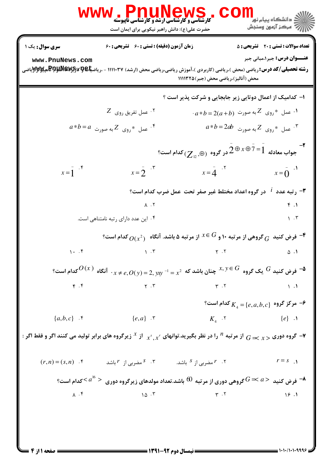|                                   | <b>www.PnuNews</b><br><b>کارشناسی و کارشناسی ارشد و کارشناسی ناپیوسته</b><br>حضرت علی(ع): دانش راهبر نیکویی برای ایمان است                                                                     | CO                                                                                                                         | <mark>ڪ دانشڪاه پيام نور</mark><br>ر آمرڪز آزمون وسنڊش                             |
|-----------------------------------|------------------------------------------------------------------------------------------------------------------------------------------------------------------------------------------------|----------------------------------------------------------------------------------------------------------------------------|------------------------------------------------------------------------------------|
| سری سوال: یک ۱<br>www.PnuNews.com | <b>زمان آزمون (دقیقه) : تستی : 60 گشریحی : 60</b><br><b>رشته تحصیلی/کد درس: ریاضی (محض )،ریاضی (کاربردی )،آموزش ریاضی،ریاضی محض (ارشد) ۱۱۱۱۰۳۷ - ،ریاض<del>یا©PAUN</del>® هپلاWy ویاMis به</b> | محض (آنالیز)،ریاضی محض (جبر)۱۱۱۱۳۲۵                                                                                        | <b>تعداد سوالات : تستی : 20 تشریحی : 5</b><br><b>عنـــوان درس:</b> جبر ۱،مبانی جبر |
|                                   |                                                                                                                                                                                                | ۱- کدامیک از اعمال دوتایی زیر جابجایی و شرکت پذیر است ؟                                                                    |                                                                                    |
|                                   | $Z$ عمل تفريق روي $\cdot$                                                                                                                                                                      |                                                                                                                            | $a * b = 2(a + b)$ ۰ عمل $^*$ روی $^*$ به صورت $^*$                                |
|                                   | $a*b = a$ عمل $^*$ روی $Z$ به صورت $^*$                                                                                                                                                        |                                                                                                                            | $a*b = 2ab$ عمل $^*$ روی $Z$ به صورت $^*$                                          |
|                                   |                                                                                                                                                                                                | جواب معادله $2\, \overline{\oplus}\,$ $z \, \overline{\oplus}\,$ در گروه $(\overline{Z}_{12}, \oplus)$ كدام است $^{\circ}$ |                                                                                    |
| $x=\overline{1}^{-\overline{1}}$  | $x=\overline{2}$ $\cdot$ $\cdot$                                                                                                                                                               | $x = \overline{4}$ .                                                                                                       | $x = \overline{0}$ .                                                               |
|                                   |                                                                                                                                                                                                | <b>۳</b> - رتبه عدد <sup>1</sup> در گروه اعداد مختلط غیر صفر تحت عمل ضرب کدام است؟                                         |                                                                                    |
|                                   | $\lambda$ . $\zeta$                                                                                                                                                                            |                                                                                                                            | f.1                                                                                |
|                                   | ۰۴ این عدد دارای رتبه نامتناهی است.                                                                                                                                                            |                                                                                                                            | $\mathcal{N}$ .                                                                    |
|                                   |                                                                                                                                                                                                | فرض کنید $\,G$ گروهی از مرتبه ۱۰ و $\,S$ $\,$ از مرتبه ۵ باشد. آنگاه $\,O(x^2)$ کدام است $\,$                              |                                                                                    |
| 1.7                               | $\lambda$ . $\tau$                                                                                                                                                                             | $\gamma$ . $\gamma$                                                                                                        | ۰۱. ۵                                                                              |
|                                   | $^3$ فرض کنید $^G$ یک گروه $^G$ $^X$ چنان باشد که $x^2 = x^2 \rightarrow 2,$ $\cdots$ . آنگاه $^G$ کدام است $^G$                                                                               |                                                                                                                            |                                                                                    |
| f. f                              | $\Upsilon$ . $\Upsilon$                                                                                                                                                                        | $Y \cdot Y$                                                                                                                | $\setminus$ .                                                                      |
|                                   |                                                                                                                                                                                                |                                                                                                                            | °۔ مرکز گروہ $\{e,a,b,c\} = \{k_A = \{e,a,b,c\}$ کدام است $\mathcal{P}$            |
| $\{a,b,c\}$ f                     | $\{e,a\}$ . $\mathbf{r}$                                                                                                                                                                       | $K_{\scriptscriptstyle{A}}$ . $\cdot$                                                                                      | $\{e\}$ .                                                                          |
|                                   | - گروه دوری $\chi>$ ج $G$ از مرتبه $^N$ را در نظر بگیرید.توانهای $x^s, x^r$ از $x^s$ زیرگروه های برابر تولید می کنند اگر و فقط اگر $\to$                                                       |                                                                                                                            |                                                                                    |
|                                   | $(r, n) = (s, n)$ ۴. ۴ مضربی از $r$ باشد. $s^{S}$ مضربی از $r^{S}$ باشد. $r^{S}$ باشد.                                                                                                         |                                                                                                                            | $r = s$ $\Delta$                                                                   |
|                                   | $\epsilon$ ه فرض کنید $a>$ $G$ گروهی دوری از مرتبه $60$ باشد.تعداد مولدهای زیرگروه دوری $a^{16}>$ کدام است $\sim$                                                                              |                                                                                                                            |                                                                                    |
| $\lambda \cdot f$                 | 10.7                                                                                                                                                                                           | $\Upsilon$ . $\Upsilon$                                                                                                    | 19.1                                                                               |
|                                   |                                                                                                                                                                                                |                                                                                                                            |                                                                                    |
|                                   |                                                                                                                                                                                                |                                                                                                                            |                                                                                    |
|                                   |                                                                                                                                                                                                |                                                                                                                            |                                                                                    |

 $= 1.1.11.1.9999$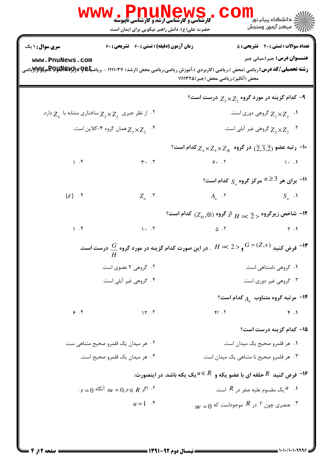|                                    | ، WWW ، Pnung المستقل بالكليم في WWW<br>حضرت علی(ع): دانش راهبر نیکویی برای ایمان است                                              |                                                                                                                          | <sup>ال</sup> ڪ دانشڪاه پيام نور <sup>دا</sup><br>ا∛ مرکز آزمون وسنڊش |
|------------------------------------|------------------------------------------------------------------------------------------------------------------------------------|--------------------------------------------------------------------------------------------------------------------------|-----------------------------------------------------------------------|
| <b>سری سوال : ۱ یک</b>             | زمان آزمون (دقیقه) : تستی : 60 ٪ تشریحی : 60                                                                                       |                                                                                                                          | <b>تعداد سوالات : تستی : 20 - تشریحی : 5</b>                          |
| www.PnuNews.com                    | <b>رشته تحصیلی/کد درس: ریاضی (محض )،ریاضی (کاربردی )،آموزش ریاضی،ریاضی محض (ارشد) ۱۱۱۱۰۳۷ - ،ریاض<del>یا©PARRA به پایالا</del></b> | محض (آنالیز)،ریاضی محض (جبر)۱۱۱۱۳۲۵                                                                                      | <b>عنـــوان درس:</b> جبر ۱،مبانی جبر                                  |
|                                    |                                                                                                                                    | °– کدام گزینه در مورد گروه $Z_2 \times Z_2$ درست است $Y$                                                                 |                                                                       |
|                                    | ا ز نظر جبری $Z_2 \times Z_2$ ساختاری مشابه با $Z_4$ دارد. $Z_2$                                                                   |                                                                                                                          | گروهی دوری است. $Z_2 \times Z_2$ $\rightarrow$                        |
|                                    | همان گروه ۴-کلاين است. $Z_2\times Z_2$                                                                                             |                                                                                                                          | . تا $Z_2 \times Z_2$ گروهی غیر آبلی است. $Z_2 \times Z_2$            |
|                                    |                                                                                                                                    | $^{\circ}$ ا- رتبه عضو $(\overline{2},\overline{3},\overline{2})$ در گروه $Z_{\alpha}\times Z_{\gamma}$ کدام است $^{-1}$ |                                                                       |
| $\mathcal{L}$                      | $\mathbf{r}$ . $\mathbf{r}$                                                                                                        | $9.7$ (1)                                                                                                                |                                                                       |
|                                    |                                                                                                                                    |                                                                                                                          | ا برای هر $^{n\geq 3}$ مرکز گروه $_{S_n}$ کدام است؟ $^{-11}$          |
| $\{\mathcal{E}\}$ . $\mathfrak{k}$ | $Z_n$ . $\mathbf{r}$                                                                                                               | $A_n \cdot Y$ $S_n \cdot Y$                                                                                              |                                                                       |
|                                    |                                                                                                                                    | $^{\circ}$ ا− شاخص زیرگروه $\frac{1}{Z}>H$ از گروه $Z_{\rm 0}$ ) کدام است $^{\circ}$                                     |                                                                       |
| 1.9                                |                                                                                                                                    | $1.7$ $0.7$ $1.1$                                                                                                        |                                                                       |
|                                    | فرض کنید $G$ =(Z,+) و $G = (Z,+)$ . در این صورت کدام گزینه در مورد گروه $\frac{G}{H}$ درست است. $H \asymp 2$ و $G = (Z,+)$         |                                                                                                                          |                                                                       |
|                                    | ۰۲ گروهی ۲ عضوی است.                                                                                                               |                                                                                                                          | ۰۱ گروهی نامتناهی است.                                                |
|                                    | ۰۴ گروهی غیر آبلی است.                                                                                                             |                                                                                                                          | ۰۳ گروهی غیر دوری است.                                                |
|                                    |                                                                                                                                    |                                                                                                                          | ° مرتبه گروه متناوب $\,A_{_4}\,$ کدام است $\,$                        |
| 9.9                                | $\gamma \gamma$ . $\gamma$                                                                                                         | $F!$ . $\zeta$                                                                                                           | f.1                                                                   |
|                                    |                                                                                                                                    |                                                                                                                          | ۱۵– کدام گزینه درست است؟                                              |
|                                    | ۰۲ هر میدان یک قلمرو صحیح متناهی ست.                                                                                               |                                                                                                                          | ٠١ هر قلمرو صحيح يک ميدان است.                                        |
|                                    | ۰۴ هر میدان یک قلمرو صحیح است.                                                                                                     | ۰۳ هر قلمرو صحیح نا متناهی یک میدان است.                                                                                 |                                                                       |
|                                    |                                                                                                                                    | ا- فرض کنید $R$ حلقه ای با عضو یکه و $\,R \in \mathbb{R} \,$ یک یکه باشد. در اینصورت: $\,$                               |                                                                       |
|                                    | $r = 0$ آنگاه $n = 0, r \in R$ آنگاه $r = 0$                                                                                       |                                                                                                                          | ۰۱ یک مقسوم علیه صفر در $R$ است. $^{\prime\prime}$ ۰۱                 |
|                                    | $u=1$ $\cdot$                                                                                                                      | $\cdot$ عنصری چون $^V$ در $^V$ موجوداست که $_{UV}$ . $^{\text{w}}$                                                       |                                                                       |
|                                    |                                                                                                                                    |                                                                                                                          |                                                                       |
|                                    |                                                                                                                                    |                                                                                                                          |                                                                       |

 $= 1.1 - 11.1 - 9999$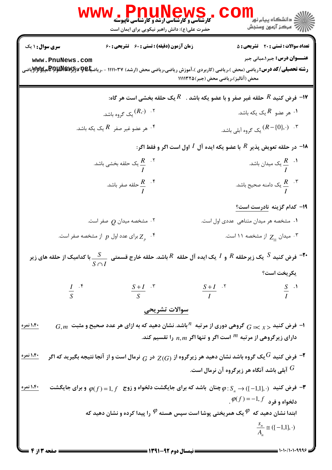|                                   | <b>WWW.PNUNEWS</b><br><b>کارشناسی و کارشناسی ارشد و کارشناسی ناپیوسته</b><br>حضرت علی(ع): دانش راهبر نیکویی برای ایمان است | ر دانشگاه پيام نور ■<br>دانشگاه پيام نور <mark>سنجش</mark>                                                                                                                                                                           |  |
|-----------------------------------|----------------------------------------------------------------------------------------------------------------------------|--------------------------------------------------------------------------------------------------------------------------------------------------------------------------------------------------------------------------------------|--|
| سری سوال: ۱ یک                    | <b>زمان آزمون (دقیقه) : تستی : 60 ٪ تشریحی : 60</b>                                                                        | <b>تعداد سوالات : تستی : 20 - تشریحی : 5</b>                                                                                                                                                                                         |  |
| www.PnuNews.com                   |                                                                                                                            | <b>عنـــوان درس:</b> جبر ۱،مبانی جبر<br><b>رشته تحصیلی/کد درس: ریاضی (محض )،ریاضی (کاربردی )،آموزش ریاضی،ریاضی محض (ارشد) ۱۱۱۱۰۳۷ - ،ریاض<del>یا©PARRA و P</del>کهایی<del>لاو</del>Pکهایی</b><br>محض (آنالیز)،ریاضی محض (جبر)۱۱۱۱۳۲۵ |  |
|                                   |                                                                                                                            | ا- فرض كنيد $R$ حلقه غير صفر و با عضو يكه باشد . $R$ يك حلقه بخشى است هر گاه: $\bullet$                                                                                                                                              |  |
|                                   | ۰۲ $(R,\cdotp)$ یک گروه باشد.                                                                                              | ۰۱ هر عضو $R$ یک یکه باشد. $\cdot$                                                                                                                                                                                                   |  |
|                                   | ۰۴ هر عضو غیر صفر $R$ یک یکه باشد. $^\mathfrak{e}$                                                                         | بک گروه آبلی باشد. $(R\!-\!\{0\},\cdots)$                                                                                                                                                                                            |  |
|                                   |                                                                                                                            | ا در حلقه تعویض پذیر $R$ با عضو یکه ایده آل $I$ اول است اگر و فقط اگر $\blacksquare$                                                                                                                                                 |  |
|                                   | یک حلقه بخشی باشد. $\frac{R}{I}^{-\cdot \, \mathsf{\check{Y}}}$                                                            | یک میدان باشد. $\frac{R}{I}$ $\,$ ۰۱                                                                                                                                                                                                 |  |
|                                   | حلقه صفر باشد. $\frac{R}{I}^{-\cdot \mathfrak{f}}$                                                                         | یک دامنه صحیح باشد. $\frac{R}{I}$ $\cdot$ $^{\circ}$                                                                                                                                                                                 |  |
|                                   |                                                                                                                            | ۱۹- کدام گزینه <u>نادرست است؟</u>                                                                                                                                                                                                    |  |
|                                   | ۰۲ مشخصه میدان $\varrho$ صفر است.                                                                                          | ۰۱ مشخصه هر میدان متناهی عددی اول است.                                                                                                                                                                                               |  |
|                                   | برای عدد اول $p$ از مشخصه صفر است. $Z_{_{p}}$                                                                              | ۰۳ میدان $Z_{11}$ از مشخصه ۱۱ است.                                                                                                                                                                                                   |  |
| با کدامیک از حلقه های زیر $S$     |                                                                                                                            | $\frac{S}{S\cap I}$ فرض کنید $S$ یک زیرحلقه $R$ و $I$ یک ایده آل حلقه $R$ باشد. حلقه خارج قسمتی $\frac{S}{S\cap I}$                                                                                                                  |  |
|                                   |                                                                                                                            | يكريخت است؟                                                                                                                                                                                                                          |  |
| $rac{I}{S}$ $\cdot$ $\frac{5}{S}$ | $\frac{S+I}{S}$ .*                                                                                                         | $\frac{S+I}{I}$ . <sup>5</sup><br>$\frac{S}{I}$ .                                                                                                                                                                                    |  |
|                                   | سوالات تشريحي                                                                                                              |                                                                                                                                                                                                                                      |  |
| ۱،۴۰ نمره                         |                                                                                                                            | $\,G, m \,$ ا- فرض کنید $\, \chi > 0 \,$ گروهی دوری از مرتبه $^{\,n}$ باشد. نشان دهید که به ازای هر عدد صحیح و مثبت<br>دارای زیرگروهی از مرتبه $^m$ است اگر و تنها اگر $n,m$ را تقسیم کند.                                           |  |
| <u>۱،۴۰ نمره</u>                  |                                                                                                                            | فرض کنید $^G$ یک گروه باشد نشان دهید هر زیرگروه از $Z(G)$ در $_G$ نرمال است و از آنجا نتیجه بگیرید که اگر $^\mathbf{\sigma}$<br>آبلی باشد آنگاه هر زیرگروه آن نرمال است. $G$                                                         |  |
| ۱،۴۰ نمره                         |                                                                                                                            | فرض کنید $(-1,1],\cdot\cdot\cdot$ چنان باشد که برای جایگشت دلخواه و زوج $(0,f)=0$ و برای جایگشت $\bm{\varphi}$<br>$\mathcal{P}(f) = -1, f$ دلخواه و فرد                                                                              |  |
|                                   |                                                                                                                            | ابتدا نشان دهید که $\mathscr P$ یک همریختی پوشا است سپس هسته $\mathscr P$ را پیدا کرده و نشان دهید که<br>$\frac{S_n}{A} \cong (\{-1,1\},\cdot)$                                                                                      |  |
|                                   | = 1391-92 ده ه ۱۳۹۱-                                                                                                       |                                                                                                                                                                                                                                      |  |

**= نیمسال دوم ۹۲-۱۳۹۱ <del>-</del>-**

= صفحه ۲ از ۴ ـــا